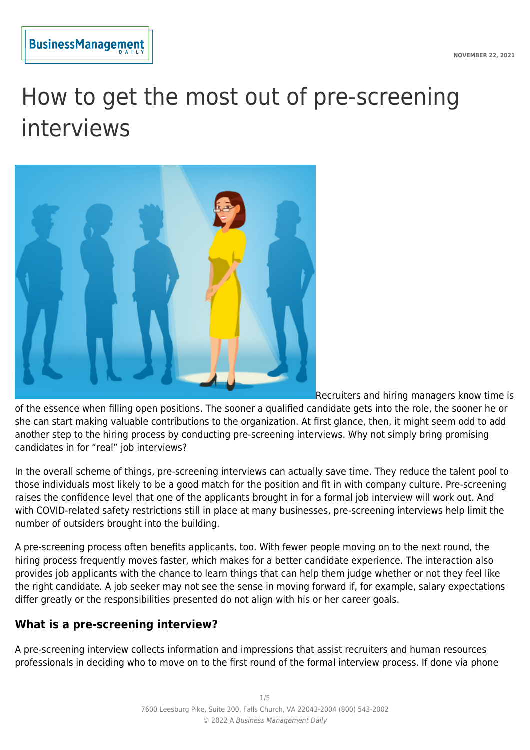**NOVEMBER 22, 2021**



# How to get the most out of pre-screening interviews



Recruiters and hiring managers know time is

of the essence when filling open positions. The sooner a qualified candidate gets into the role, the sooner he or she can start making valuable contributions to the organization. At first glance, then, it might seem odd to add another step to the hiring process by conducting pre-screening interviews. Why not simply bring promising candidates in for "real" job interviews?

In the overall scheme of things, pre-screening interviews can actually save time. They reduce the talent pool to those individuals most likely to be a good match for the position and fit in with company culture. Pre-screening raises the confidence level that one of the applicants brought in for a formal job interview will work out. And with COVID-related safety restrictions still in place at many businesses, pre-screening interviews help limit the number of outsiders brought into the building.

A pre-screening process often benefits applicants, too. With fewer people moving on to the next round, the hiring process frequently moves faster, which makes for a better candidate experience. The interaction also provides job applicants with the chance to learn things that can help them judge whether or not they feel like the right candidate. A job seeker may not see the sense in moving forward if, for example, salary expectations differ greatly or the responsibilities presented do not align with his or her career goals.

# **What is a pre-screening interview?**

A pre-screening interview collects information and impressions that assist recruiters and human resources professionals in deciding who to move on to the first round of the formal interview process. If done via phone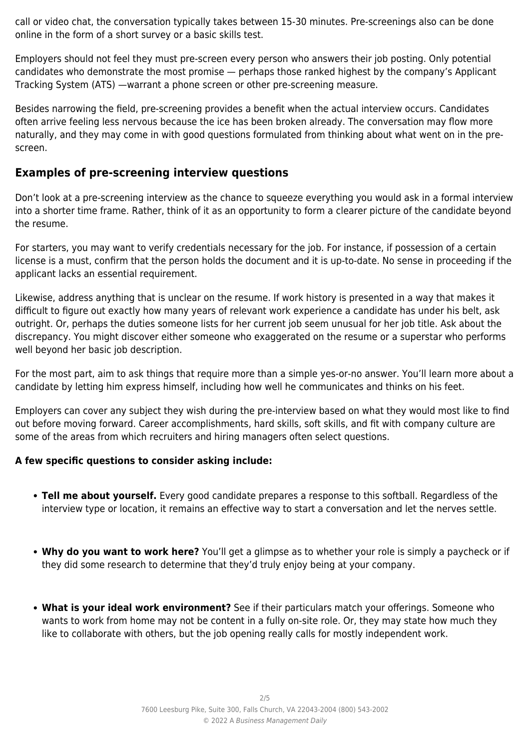call or video chat, the conversation typically takes between 15-30 minutes. Pre-screenings also can be done online in the form of a short survey or a basic skills test.

Employers should not feel they must pre-screen every person who answers their job posting. Only potential candidates who demonstrate the most promise — perhaps those ranked highest by the company's Applicant Tracking System (ATS) —warrant a phone screen or other pre-screening measure.

Besides narrowing the field, pre-screening provides a benefit when the actual interview occurs. Candidates often arrive feeling less nervous because the ice has been broken already. The conversation may flow more naturally, and they may come in with good questions formulated from thinking about what went on in the prescreen.

# **Examples of pre-screening interview questions**

Don't look at a pre-screening interview as the chance to squeeze everything you would ask in a formal interview into a shorter time frame. Rather, think of it as an opportunity to form a clearer picture of the candidate beyond the resume.

For starters, you may want to verify credentials necessary for the job. For instance, if possession of a certain license is a must, confirm that the person holds the document and it is up-to-date. No sense in proceeding if the applicant lacks an essential requirement.

Likewise, address anything that is unclear on the resume. If work history is presented in a way that makes it difficult to figure out exactly how many years of relevant work experience a candidate has under his belt, ask outright. Or, perhaps the duties someone lists for her current job seem unusual for her job title. Ask about the discrepancy. You might discover either someone who exaggerated on the resume or a superstar who performs well beyond her basic job description.

For the most part, aim to ask things that require more than a simple yes-or-no answer. You'll learn more about a candidate by letting him express himself, including how well he communicates and thinks on his feet.

Employers can cover any subject they wish during the pre-interview based on what they would most like to find out before moving forward. Career accomplishments, hard skills, soft skills, and fit with company culture are some of the areas from which recruiters and hiring managers often select questions.

#### **A few specific questions to consider asking include:**

- **Tell me about yourself.** Every good candidate prepares a response to this softball. Regardless of the interview type or location, it remains an effective way to start a conversation and let the nerves settle.
- **Why do you want to work here?** You'll get a glimpse as to whether your role is simply a paycheck or if they did some research to determine that they'd truly enjoy being at your company.
- **What is your ideal work environment?** See if their particulars match your offerings. Someone who wants to work from home may not be content in a fully on-site role. Or, they may state how much they like to collaborate with others, but the job opening really calls for mostly independent work.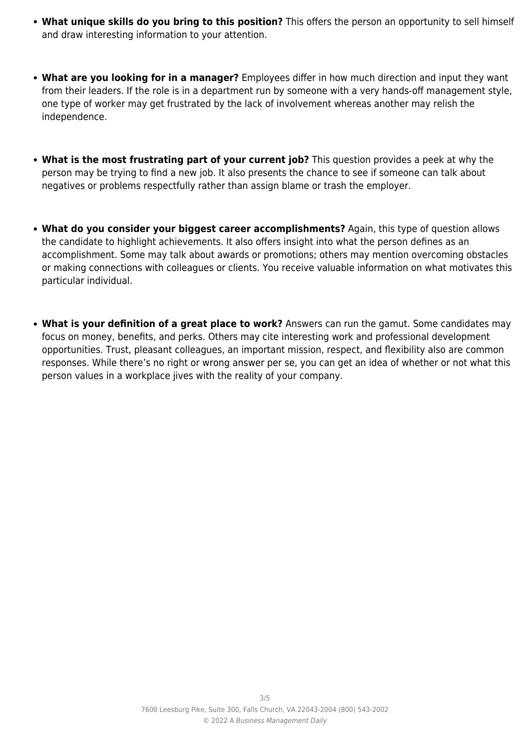- **What unique skills do you bring to this position?** This offers the person an opportunity to sell himself and draw interesting information to your attention.
- **What are you looking for in a manager?** Employees differ in how much direction and input they want from their leaders. If the role is in a department run by someone with a very hands-off management style, one type of worker may get frustrated by the lack of involvement whereas another may relish the independence.
- **What is the most frustrating part of your current job?** This question provides a peek at why the person may be trying to find a new job. It also presents the chance to see if someone can talk about negatives or problems respectfully rather than assign blame or trash the employer.
- **What do you consider your biggest career accomplishments?** Again, this type of question allows the candidate to highlight achievements. It also offers insight into what the person defines as an accomplishment. Some may talk about awards or promotions; others may mention overcoming obstacles or making connections with colleagues or clients. You receive valuable information on what motivates this particular individual.
- **What is your definition of a great place to work?** Answers can run the gamut. Some candidates may focus on money, benefits, and perks. Others may cite interesting work and professional development opportunities. Trust, pleasant colleagues, an important mission, respect, and flexibility also are common responses. While there's no right or wrong answer per se, you can get an idea of whether or not what this person values in a workplace jives with the reality of your company.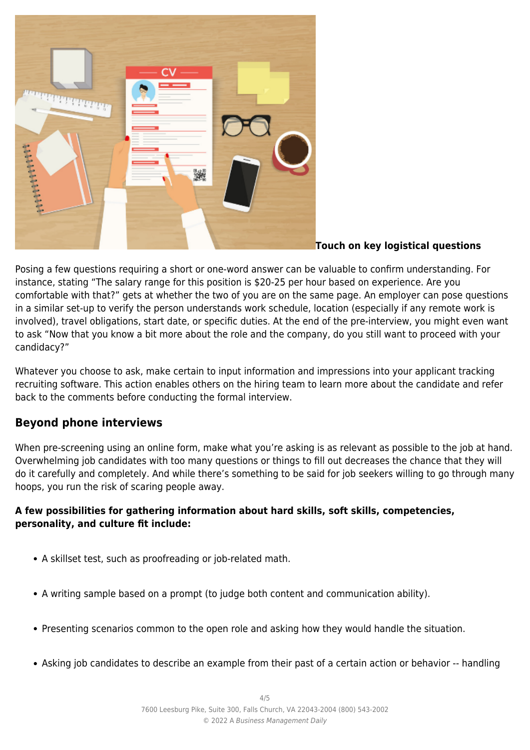

#### **Touch on key logistical questions**

Posing a few questions requiring a short or one-word answer can be valuable to confirm understanding. For instance, stating "The salary range for this position is \$20-25 per hour based on experience. Are you comfortable with that?" gets at whether the two of you are on the same page. An employer can pose questions in a similar set-up to verify the person understands work schedule, location (especially if any remote work is involved), travel obligations, start date, or specific duties. At the end of the pre-interview, you might even want to ask "Now that you know a bit more about the role and the company, do you still want to proceed with your candidacy?"

Whatever you choose to ask, make certain to input information and impressions into your applicant tracking recruiting software. This action enables others on the hiring team to learn more about the candidate and refer back to the comments before conducting the formal interview.

# **Beyond phone interviews**

When pre-screening using an online form, make what you're asking is as relevant as possible to the job at hand. Overwhelming job candidates with too many questions or things to fill out decreases the chance that they will do it carefully and completely. And while there's something to be said for job seekers willing to go through many hoops, you run the risk of scaring people away.

#### **A few possibilities for gathering information about hard skills, soft skills, competencies, personality, and culture fit include:**

- A skillset test, such as proofreading or job-related math.
- A writing sample based on a prompt (to judge both content and communication ability).
- Presenting scenarios common to the open role and asking how they would handle the situation.
- Asking job candidates to describe an example from their past of a certain action or behavior -- handling